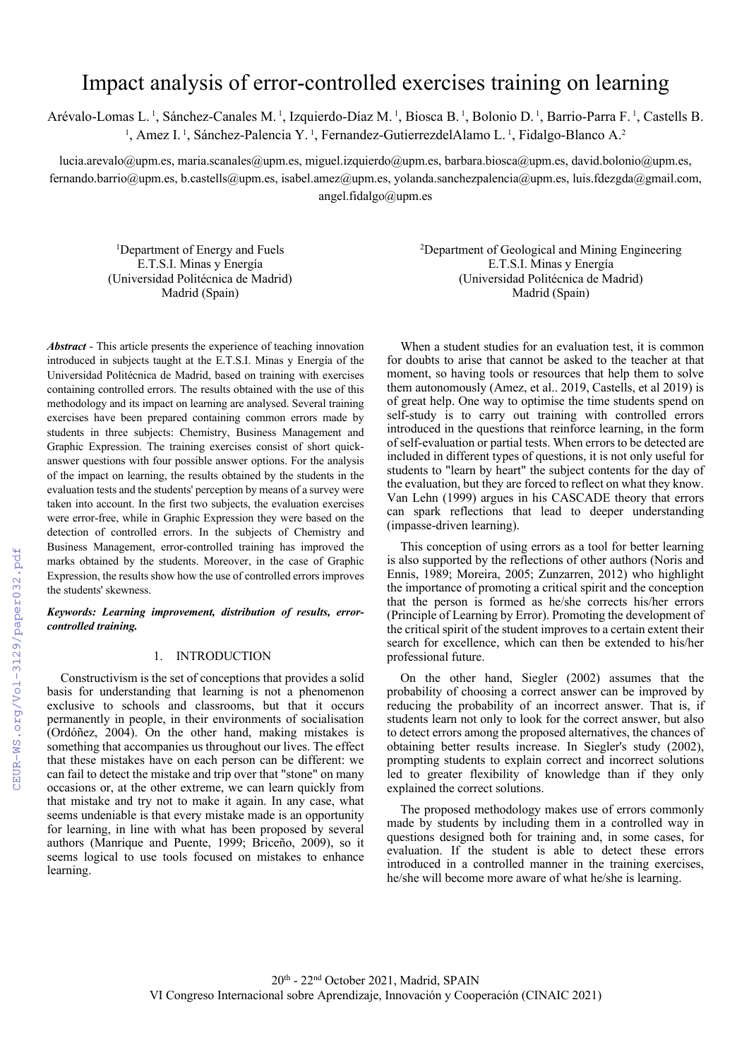# Impact analysis of error-controlled exercises training on learning

Arévalo-Lomas L.<sup>1</sup>, Sánchez-Canales M.<sup>1</sup>, Izquierdo-Díaz M.<sup>1</sup>, Biosca B.<sup>1</sup>, Bolonio D.<sup>1</sup>, Barrio-Parra F.<sup>1</sup>, Castells B. <sup>1</sup>, Amez I.<sup>1</sup>, Sánchez-Palencia Y.<sup>1</sup>, Fernandez-GutierrezdelAlamo L.<sup>1</sup>, Fidalgo-Blanco A.<sup>2</sup>

lucia.arevalo@upm.es, maria.scanales@upm.es, miguel.izquierdo@upm.es, barbara.biosca@upm.es, david.bolonio@upm.es, fernando.barrio@upm.es, b.castells@upm.es, isabel.amez@upm.es, yolanda.sanchezpalencia@upm.es, luis.fdezgda@gmail.com, angel.fidalgo@upm.es

1 Department of Energy and Fuels E.T.S.I. Minas y Energía (Universidad Politécnica de Madrid) Madrid (Spain)

*Abstract* - This article presents the experience of teaching innovation introduced in subjects taught at the E.T.S.I. Minas y Energía of the Universidad Politécnica de Madrid, based on training with exercises containing controlled errors. The results obtained with the use of this methodology and its impact on learning are analysed. Several training exercises have been prepared containing common errors made by students in three subjects: Chemistry, Business Management and Graphic Expression. The training exercises consist of short quickanswer questions with four possible answer options. For the analysis of the impact on learning, the results obtained by the students in the evaluation tests and the students' perception by means of a survey were taken into account. In the first two subjects, the evaluation exercises were error-free, while in Graphic Expression they were based on the detection of controlled errors. In the subjects of Chemistry and Business Management, error-controlled training has improved the marks obtained by the students. Moreover, in the case of Graphic Expression, the results show how the use of controlled errors improves the students' skewness.

# *Keywords: Learning improvement, distribution of results, errorcontrolled training.*

#### 1. INTRODUCTION

Constructivism is the set of conceptions that provides a solid basis for understanding that learning is not a phenomenon exclusive to schools and classrooms, but that it occurs permanently in people, in their environments of socialisation (Ordóñez, 2004). On the other hand, making mistakes is something that accompanies us throughout our lives. The effect that these mistakes have on each person can be different: we can fail to detect the mistake and trip over that "stone" on many occasions or, at the other extreme, we can learn quickly from that mistake and try not to make it again. In any case, what seems undeniable is that every mistake made is an opportunity for learning, in line with what has been proposed by several authors (Manrique and Puente, 1999; Briceño, 2009), so it seems logical to use tools focused on mistakes to enhance learning.

2 Department of Geological and Mining Engineering E.T.S.I. Minas y Energía (Universidad Politécnica de Madrid) Madrid (Spain)

When a student studies for an evaluation test, it is common for doubts to arise that cannot be asked to the teacher at that moment, so having tools or resources that help them to solve them autonomously (Amez, et al.. 2019, Castells, et al 2019) is of great help. One way to optimise the time students spend on self-study is to carry out training with controlled errors introduced in the questions that reinforce learning, in the form of self-evaluation or partial tests. When errors to be detected are included in different types of questions, it is not only useful for students to "learn by heart" the subject contents for the day of the evaluation, but they are forced to reflect on what they know. Van Lehn (1999) argues in his CASCADE theory that errors can spark reflections that lead to deeper understanding (impasse-driven learning).

This conception of using errors as a tool for better learning is also supported by the reflections of other authors (Noris and Ennis, 1989; Moreira, 2005; Zunzarren, 2012) who highlight the importance of promoting a critical spirit and the conception that the person is formed as he/she corrects his/her errors (Principle of Learning by Error). Promoting the development of the critical spirit of the student improves to a certain extent their search for excellence, which can then be extended to his/her professional future.

On the other hand, Siegler (2002) assumes that the probability of choosing a correct answer can be improved by reducing the probability of an incorrect answer. That is, if students learn not only to look for the correct answer, but also to detect errors among the proposed alternatives, the chances of obtaining better results increase. In Siegler's study (2002), prompting students to explain correct and incorrect solutions led to greater flexibility of knowledge than if they only explained the correct solutions.

The proposed methodology makes use of errors commonly made by students by including them in a controlled way in questions designed both for training and, in some cases, for evaluation. If the student is able to detect these errors introduced in a controlled manner in the training exercises, he/she will become more aware of what he/she is learning.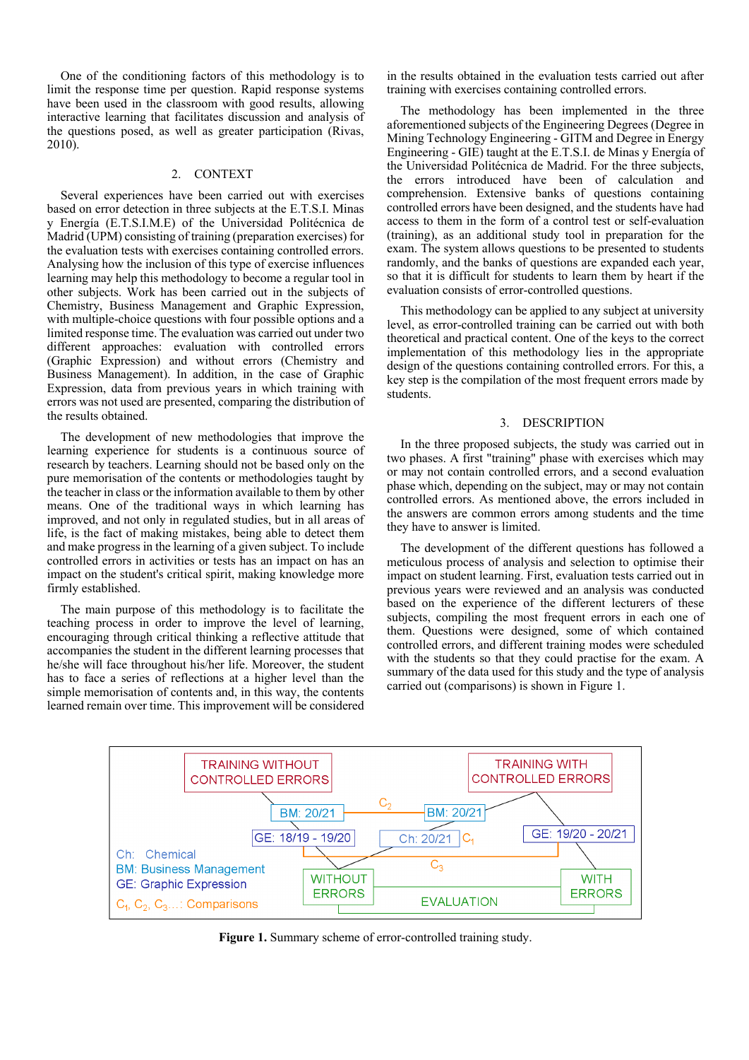One of the conditioning factors of this methodology is to limit the response time per question. Rapid response systems have been used in the classroom with good results, allowing interactive learning that facilitates discussion and analysis of the questions posed, as well as greater participation (Rivas, 2010).

#### 2. CONTEXT

Several experiences have been carried out with exercises based on error detection in three subjects at the E.T.S.I. Minas y Energía (E.T.S.I.M.E) of the Universidad Politécnica de Madrid (UPM) consisting of training (preparation exercises) for the evaluation tests with exercises containing controlled errors. Analysing how the inclusion of this type of exercise influences learning may help this methodology to become a regular tool in other subjects. Work has been carried out in the subjects of Chemistry, Business Management and Graphic Expression, with multiple-choice questions with four possible options and a limited response time. The evaluation was carried out under two different approaches: evaluation with controlled errors (Graphic Expression) and without errors (Chemistry and Business Management). In addition, in the case of Graphic Expression, data from previous years in which training with errors was not used are presented, comparing the distribution of the results obtained.

The development of new methodologies that improve the learning experience for students is a continuous source of research by teachers. Learning should not be based only on the pure memorisation of the contents or methodologies taught by the teacher in class or the information available to them by other means. One of the traditional ways in which learning has improved, and not only in regulated studies, but in all areas of life, is the fact of making mistakes, being able to detect them and make progress in the learning of a given subject. To include controlled errors in activities or tests has an impact on has an impact on the student's critical spirit, making knowledge more firmly established.

The main purpose of this methodology is to facilitate the teaching process in order to improve the level of learning, encouraging through critical thinking a reflective attitude that accompanies the student in the different learning processes that he/she will face throughout his/her life. Moreover, the student has to face a series of reflections at a higher level than the simple memorisation of contents and, in this way, the contents learned remain over time. This improvement will be considered

in the results obtained in the evaluation tests carried out after training with exercises containing controlled errors.

The methodology has been implemented in the three aforementioned subjects of the Engineering Degrees (Degree in Mining Technology Engineering - GITM and Degree in Energy Engineering - GIE) taught at the E.T.S.I. de Minas y Energía of the Universidad Politécnica de Madrid. For the three subjects, the errors introduced have been of calculation and comprehension. Extensive banks of questions containing controlled errors have been designed, and the students have had access to them in the form of a control test or self-evaluation (training), as an additional study tool in preparation for the exam. The system allows questions to be presented to students randomly, and the banks of questions are expanded each year, so that it is difficult for students to learn them by heart if the evaluation consists of error-controlled questions.

This methodology can be applied to any subject at university level, as error-controlled training can be carried out with both theoretical and practical content. One of the keys to the correct implementation of this methodology lies in the appropriate design of the questions containing controlled errors. For this, a key step is the compilation of the most frequent errors made by students.

## 3. DESCRIPTION

In the three proposed subjects, the study was carried out in two phases. A first "training" phase with exercises which may or may not contain controlled errors, and a second evaluation phase which, depending on the subject, may or may not contain controlled errors. As mentioned above, the errors included in the answers are common errors among students and the time they have to answer is limited.

The development of the different questions has followed a meticulous process of analysis and selection to optimise their impact on student learning. First, evaluation tests carried out in previous years were reviewed and an analysis was conducted based on the experience of the different lecturers of these subjects, compiling the most frequent errors in each one of them. Questions were designed, some of which contained controlled errors, and different training modes were scheduled with the students so that they could practise for the exam. A summary of the data used for this study and the type of analysis carried out (comparisons) is shown in Figure 1.



**Figure 1.** Summary scheme of error-controlled training study.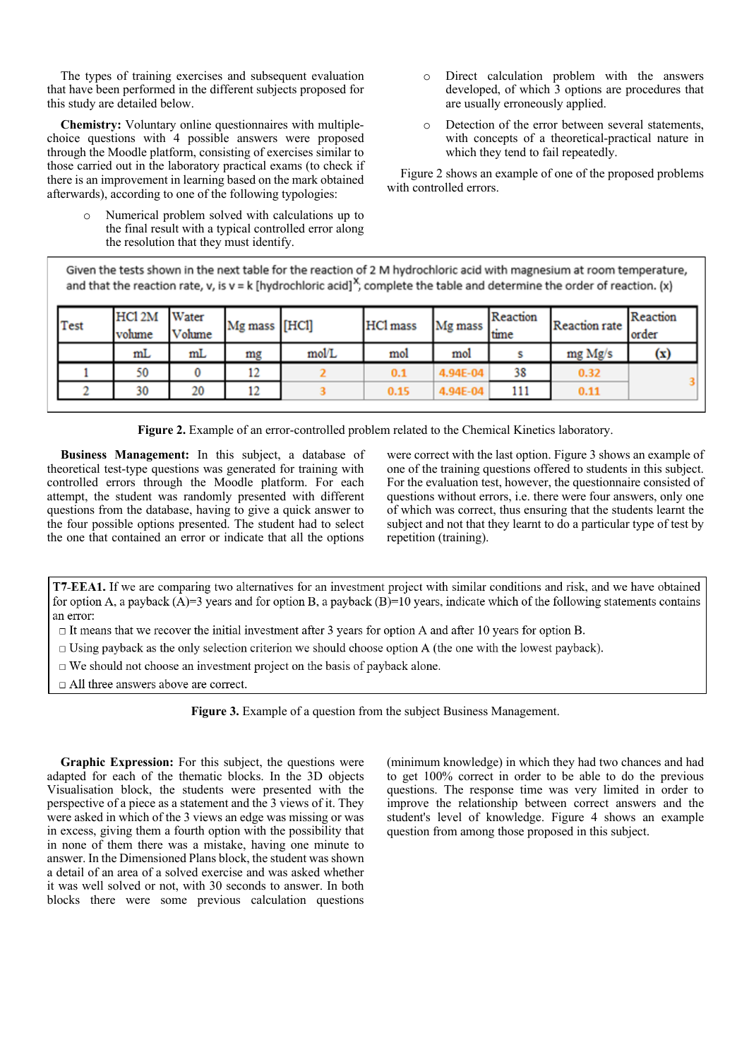The types of training exercises and subsequent evaluation that have been performed in the different subjects proposed for this study are detailed below.

**Chemistry:** Voluntary online questionnaires with multiplechoice questions with 4 possible answers were proposed through the Moodle platform, consisting of exercises similar to those carried out in the laboratory practical exams (to check if there is an improvement in learning based on the mark obtained afterwards), according to one of the following typologies:

> Numerical problem solved with calculations up to the final result with a typical controlled error along the resolution that they must identify.

- o Direct calculation problem with the answers developed, of which 3 options are procedures that are usually erroneously applied.
- o Detection of the error between several statements, with concepts of a theoretical-practical nature in which they tend to fail repeatedly.

Figure 2 shows an example of one of the proposed problems with controlled errors.

Given the tests shown in the next table for the reaction of 2 M hydrochloric acid with magnesium at room temperature, and that the reaction rate, v, is  $v = k$  [hydrochloric acid]<sup>X</sup>, complete the table and determine the order of reaction. (x)

| Test | HCl <sub>2M</sub><br><b>volume</b> | Water<br>Volume | Mg mass [HCl] |       | HCl mass | Mg mass  | Reaction<br>time | Reaction rate | Reaction<br>order |
|------|------------------------------------|-----------------|---------------|-------|----------|----------|------------------|---------------|-------------------|
|      | mL                                 | mL              | mg            | mol/L | mol      | mol      |                  | mg Mg/s       | (x)               |
|      | 50                                 |                 | 12            |       | 0.1      | 4.94E-04 | 38               | 0.32          |                   |
|      | 30                                 | 20              | 12            |       | 0.15     | 4.94E-04 | 111              | 0.11          |                   |

**Figure 2.** Example of an error-controlled problem related to the Chemical Kinetics laboratory.

**Business Management:** In this subject, a database of theoretical test-type questions was generated for training with controlled errors through the Moodle platform. For each attempt, the student was randomly presented with different questions from the database, having to give a quick answer to the four possible options presented. The student had to select the one that contained an error or indicate that all the options were correct with the last option. Figure 3 shows an example of one of the training questions offered to students in this subject. For the evaluation test, however, the questionnaire consisted of questions without errors, i.e. there were four answers, only one of which was correct, thus ensuring that the students learnt the subject and not that they learnt to do a particular type of test by repetition (training).

T7-EEA1. If we are comparing two alternatives for an investment project with similar conditions and risk, and we have obtained for option A, a payback  $(A)=3$  years and for option B, a payback  $(B)=10$  years, indicate which of the following statements contains an error:

 $\Box$  It means that we recover the initial investment after 3 years for option A and after 10 years for option B.

 $\Box$  Using payback as the only selection criterion we should choose option A (the one with the lowest payback).

 $\Box$  We should not choose an investment project on the basis of payback alone.

 $\Box$  All three answers above are correct.

**Figure 3.** Example of a question from the subject Business Management.

**Graphic Expression:** For this subject, the questions were adapted for each of the thematic blocks. In the 3D objects Visualisation block, the students were presented with the perspective of a piece as a statement and the 3 views of it. They were asked in which of the 3 views an edge was missing or was in excess, giving them a fourth option with the possibility that in none of them there was a mistake, having one minute to answer. In the Dimensioned Plans block, the student was shown a detail of an area of a solved exercise and was asked whether it was well solved or not, with 30 seconds to answer. In both blocks there were some previous calculation questions (minimum knowledge) in which they had two chances and had to get 100% correct in order to be able to do the previous questions. The response time was very limited in order to improve the relationship between correct answers and the student's level of knowledge. Figure 4 shows an example question from among those proposed in this subject.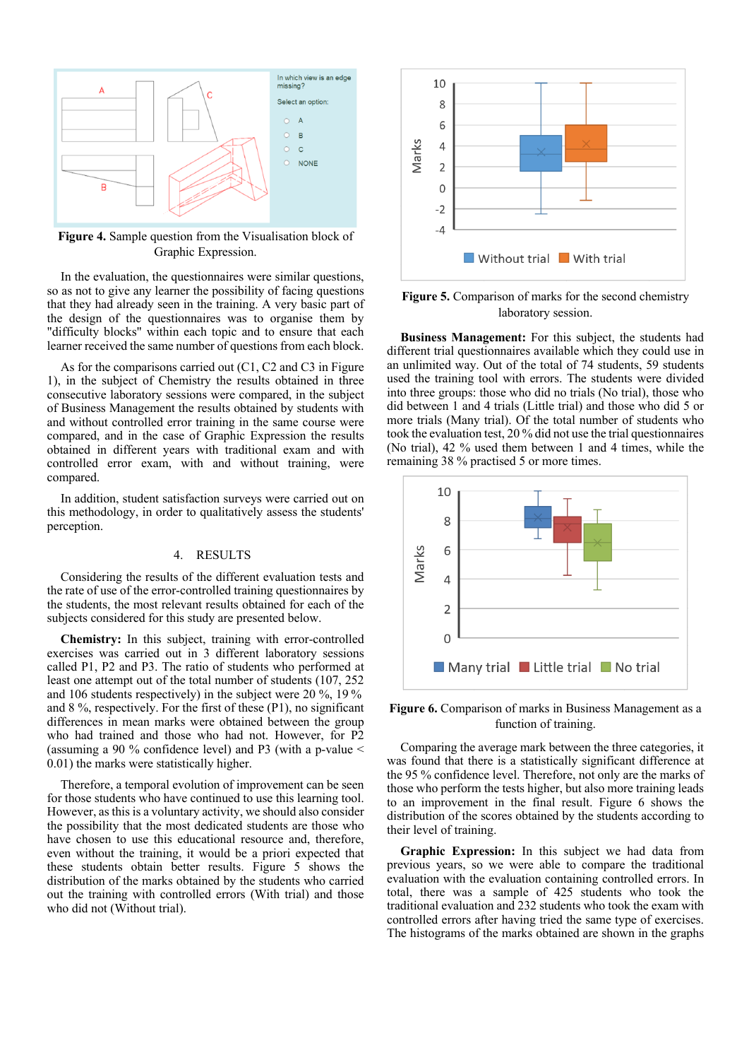

**Figure 4.** Sample question from the Visualisation block of Graphic Expression.

In the evaluation, the questionnaires were similar questions, so as not to give any learner the possibility of facing questions that they had already seen in the training. A very basic part of the design of the questionnaires was to organise them by "difficulty blocks" within each topic and to ensure that each learner received the same number of questions from each block.

As for the comparisons carried out (C1, C2 and C3 in Figure 1), in the subject of Chemistry the results obtained in three consecutive laboratory sessions were compared, in the subject of Business Management the results obtained by students with and without controlled error training in the same course were compared, and in the case of Graphic Expression the results obtained in different years with traditional exam and with controlled error exam, with and without training, were compared.

In addition, student satisfaction surveys were carried out on this methodology, in order to qualitatively assess the students' perception.

#### 4. RESULTS

Considering the results of the different evaluation tests and the rate of use of the error-controlled training questionnaires by the students, the most relevant results obtained for each of the subjects considered for this study are presented below.

**Chemistry:** In this subject, training with error-controlled exercises was carried out in 3 different laboratory sessions called P1, P2 and P3. The ratio of students who performed at least one attempt out of the total number of students (107, 252 and 106 students respectively) in the subject were 20 %, 19 % and 8 %, respectively. For the first of these (P1), no significant differences in mean marks were obtained between the group who had trained and those who had not. However, for P2 (assuming a 90 % confidence level) and P3 (with a p-value < 0.01) the marks were statistically higher.

Therefore, a temporal evolution of improvement can be seen for those students who have continued to use this learning tool. However, as this is a voluntary activity, we should also consider the possibility that the most dedicated students are those who have chosen to use this educational resource and, therefore, even without the training, it would be a priori expected that these students obtain better results. Figure 5 shows the distribution of the marks obtained by the students who carried out the training with controlled errors (With trial) and those who did not (Without trial).



**Figure 5.** Comparison of marks for the second chemistry laboratory session.

**Business Management:** For this subject, the students had different trial questionnaires available which they could use in an unlimited way. Out of the total of 74 students, 59 students used the training tool with errors. The students were divided into three groups: those who did no trials (No trial), those who did between 1 and 4 trials (Little trial) and those who did 5 or more trials (Many trial). Of the total number of students who took the evaluation test, 20 % did not use the trial questionnaires (No trial), 42 % used them between 1 and 4 times, while the remaining 38 % practised 5 or more times.



**Figure 6.** Comparison of marks in Business Management as a function of training.

Comparing the average mark between the three categories, it was found that there is a statistically significant difference at the 95 % confidence level. Therefore, not only are the marks of those who perform the tests higher, but also more training leads to an improvement in the final result. Figure 6 shows the distribution of the scores obtained by the students according to their level of training.

**Graphic Expression:** In this subject we had data from previous years, so we were able to compare the traditional evaluation with the evaluation containing controlled errors. In total, there was a sample of 425 students who took the traditional evaluation and 232 students who took the exam with controlled errors after having tried the same type of exercises. The histograms of the marks obtained are shown in the graphs